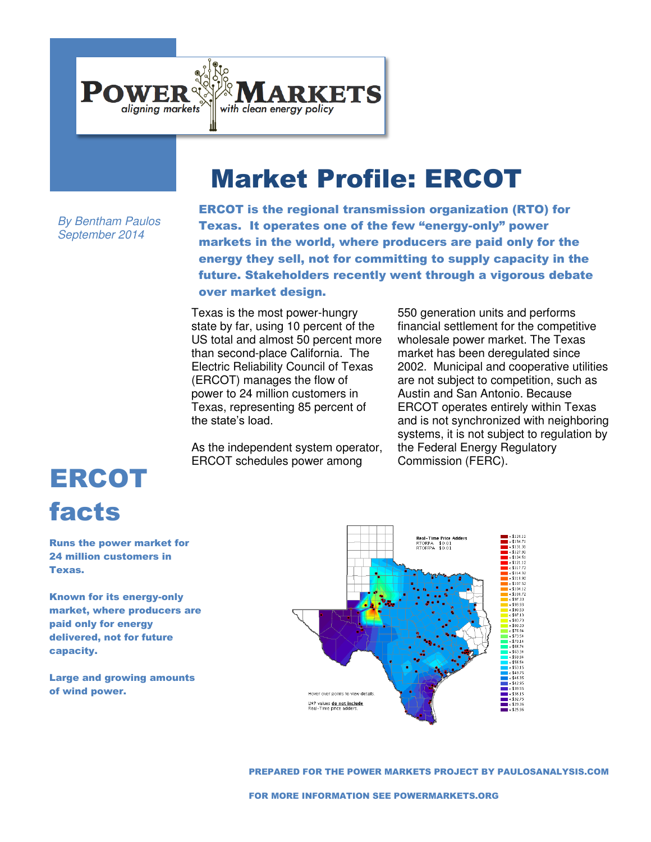

## Market Profile: ERCOT

*By Bentham Paulos September 2014* 

ERCOT is the regional transmission organization (RTO) for Texas. It operates one of the few "energy-only" power markets in the world, where producers are paid only for the energy they sell, not for committing to supply capacity in the future. Stakeholders recently went through a vigorous debate over market design.

Texas is the most power-hungry state by far, using 10 percent of the US total and almost 50 percent more than second-place California. The Electric Reliability Council of Texas (ERCOT) manages the flow of power to 24 million customers in Texas, representing 85 percent of the state's load.

As the independent system operator, ERCOT schedules power among

550 generation units and performs financial settlement for the competitive wholesale power market. The Texas market has been deregulated since 2002. Municipal and cooperative utilities are not subject to competition, such as Austin and San Antonio. Because ERCOT operates entirely within Texas and is not synchronized with neighboring systems, it is not subject to regulation by the Federal Energy Regulatory Commission (FERC).

## ERCOT facts

Runs the power market for 24 million customers in Texas.

Known for its energy-only market, where producers are paid only for energy delivered, not for future capacity.

Large and growing amounts of wind power.



PREPARED FOR THE POWER MARKETS PROJECT BY PAULOSANALYSIS.COM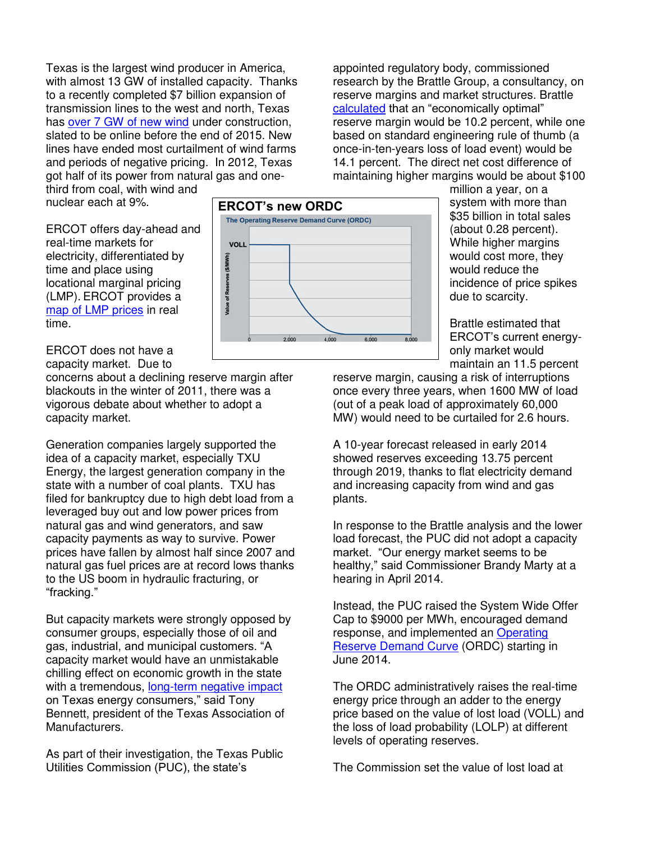Texas is the largest wind producer in America, with almost 13 GW of installed capacity. Thanks to a recently completed \$7 billion expansion of transmission lines to the west and north, Texas has [over 7 GW of new wind](http://res.dallasnews.com/interactives/2014_April/windprojects/) under construction, slated to be online before the end of 2015. New lines have ended most curtailment of wind farms and periods of negative pricing. In 2012, Texas got half of its power from natural gas and one-

**VOLL** 

Value of Reserves (\$/M)

third from coal, with wind and nuclear each at 9%.

ERCOT offers day-ahead and real-time markets for electricity, differentiated by time and place using locational marginal pricing (LMP). ERCOT provides a [map of LMP prices](http://www.ercot.com/content/cdr/contours/rtmLmpHg.html) in real time.

ERCOT does not have a capacity market. Due to

concerns about a declining reserve margin after blackouts in the winter of 2011, there was a vigorous debate about whether to adopt a capacity market.

Generation companies largely supported the idea of a capacity market, especially TXU Energy, the largest generation company in the state with a number of coal plants. TXU has filed for bankruptcy due to high debt load from a leveraged buy out and low power prices from natural gas and wind generators, and saw capacity payments as way to survive. Power prices have fallen by almost half since 2007 and natural gas fuel prices are at record lows thanks to the US boom in hydraulic fracturing, or "fracking."

But capacity markets were strongly opposed by consumer groups, especially those of oil and gas, industrial, and municipal customers. "A capacity market would have an unmistakable chilling effect on economic growth in the state with a tremendous, [long-term negative impact](http://www.manufacturetexas.org/content/manufacturers-strongly-oppose-moving-texas-power-capacity-market) on Texas energy consumers," said Tony Bennett, president of the Texas Association of Manufacturers.

As part of their investigation, the Texas Public Utilities Commission (PUC), the state's



million a year, on a system with more than \$35 billion in total sales (about 0.28 percent). While higher margins would cost more, they would reduce the incidence of price spikes due to scarcity.

Brattle estimated that ERCOT's current energyonly market would maintain an 11.5 percent

reserve margin, causing a risk of interruptions once every three years, when 1600 MW of load (out of a peak load of approximately 60,000 MW) would need to be curtailed for 2.6 hours.

appointed regulatory body, commissioned

research by the Brattle Group, a consultancy, on reserve margins and market structures. Brattle [calculated](http://brattle.com/news-and-knowledge/news/613) that an "economically optimal"

A 10-year forecast released in early 2014 showed reserves exceeding 13.75 percent through 2019, thanks to flat electricity demand and increasing capacity from wind and gas plants.

In response to the Brattle analysis and the lower load forecast, the PUC did not adopt a capacity market. "Our energy market seems to be healthy," said Commissioner Brandy Marty at a hearing in April 2014.

Instead, the PUC raised the System Wide Offer Cap to \$9000 per MWh, encouraged demand response, and implemented an [Operating](http://www.hks.harvard.edu/hepg/Papers/2014/ORDCUpdate-FINAL.pdf)  [Reserve Demand Curve](http://www.hks.harvard.edu/hepg/Papers/2014/ORDCUpdate-FINAL.pdf) (ORDC) starting in June 2014.

The ORDC administratively raises the real-time energy price through an adder to the energy price based on the value of lost load (VOLL) and the loss of load probability (LOLP) at different levels of operating reserves.

The Commission set the value of lost load at